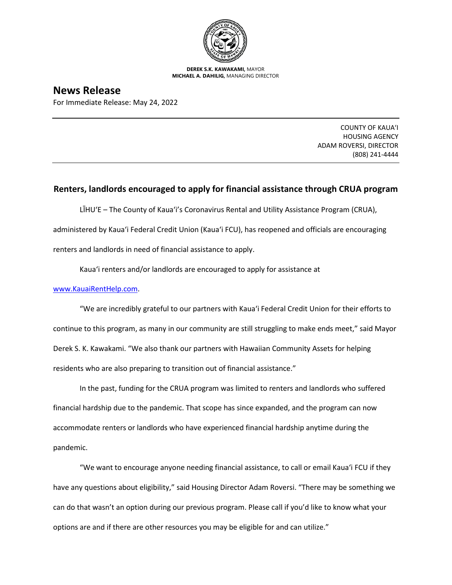

**DEREK S.K. KAWAKAMI,** MAYOR **MICHAEL A. DAHILIG,** MANAGING DIRECTOR

## **News Release**

For Immediate Release: May 24, 2022

COUNTY OF KAUA'I HOUSING AGENCY ADAM ROVERSI, DIRECTOR (808) 241-4444

## **Renters, landlords encouraged to apply for financial assistance through CRUA program**

LĪHU'E – The County of Kaua'i's Coronavirus Rental and Utility Assistance Program (CRUA), administered by Kaua'i Federal Credit Union (Kaua'i FCU), has reopened and officials are encouraging renters and landlords in need of financial assistance to apply.

Kaua'i renters and/or landlords are encouraged to apply for assistance at

## [www.KauaiRentHelp.com.](http://www.kauairenthelp.com/)

"We are incredibly grateful to our partners with Kaua'i Federal Credit Union for their efforts to continue to this program, as many in our community are still struggling to make ends meet," said Mayor Derek S. K. Kawakami. "We also thank our partners with Hawaiian Community Assets for helping residents who are also preparing to transition out of financial assistance."

In the past, funding for the CRUA program was limited to renters and landlords who suffered financial hardship due to the pandemic. That scope has since expanded, and the program can now accommodate renters or landlords who have experienced financial hardship anytime during the pandemic.

"We want to encourage anyone needing financial assistance, to call or email Kaua'i FCU if they have any questions about eligibility," said Housing Director Adam Roversi. "There may be something we can do that wasn't an option during our previous program. Please call if you'd like to know what your options are and if there are other resources you may be eligible for and can utilize."